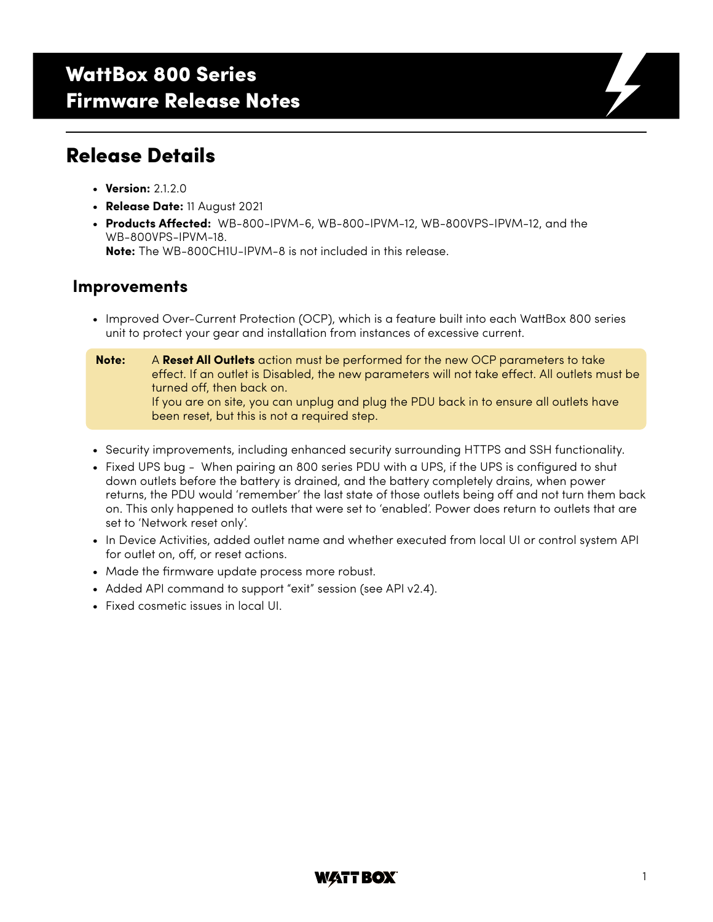# WattBox 800 Series Firmware Release Notes

### Release Details

- **Version:** 2.1.2.0
- **Release Date:** 11 August 2021
- **Products Affected:** WB-800-IPVM-6, WB-800-IPVM-12, WB-800VPS-IPVM-12, and the WB-800VPS-IPVM-18. **Note:** The WB-800CH1U-IPVM-8 is not included in this release.

### **Improvements**

- Improved Over-Current Protection (OCP), which is a feature built into each WattBox 800 series unit to protect your gear and installation from instances of excessive current.
- **Note:** A **Reset All Outlets** action must be performed for the new OCP parameters to take effect. If an outlet is Disabled, the new parameters will not take effect. All outlets must be turned off, then back on. If you are on site, you can unplug and plug the PDU back in to ensure all outlets have been reset, but this is not a required step.
- Security improvements, including enhanced security surrounding HTTPS and SSH functionality.
- Fixed UPS bug When pairing an 800 series PDU with a UPS, if the UPS is configured to shut down outlets before the battery is drained, and the battery completely drains, when power returns, the PDU would 'remember' the last state of those outlets being off and not turn them back on. This only happened to outlets that were set to 'enabled'. Power does return to outlets that are set to 'Network reset only'.
- In Device Activities, added outlet name and whether executed from local UI or control system API for outlet on, off, or reset actions.
- Made the firmware update process more robust.
- Added API command to support "exit" session (see API v2.4).
- Fixed cosmetic issues in local UI.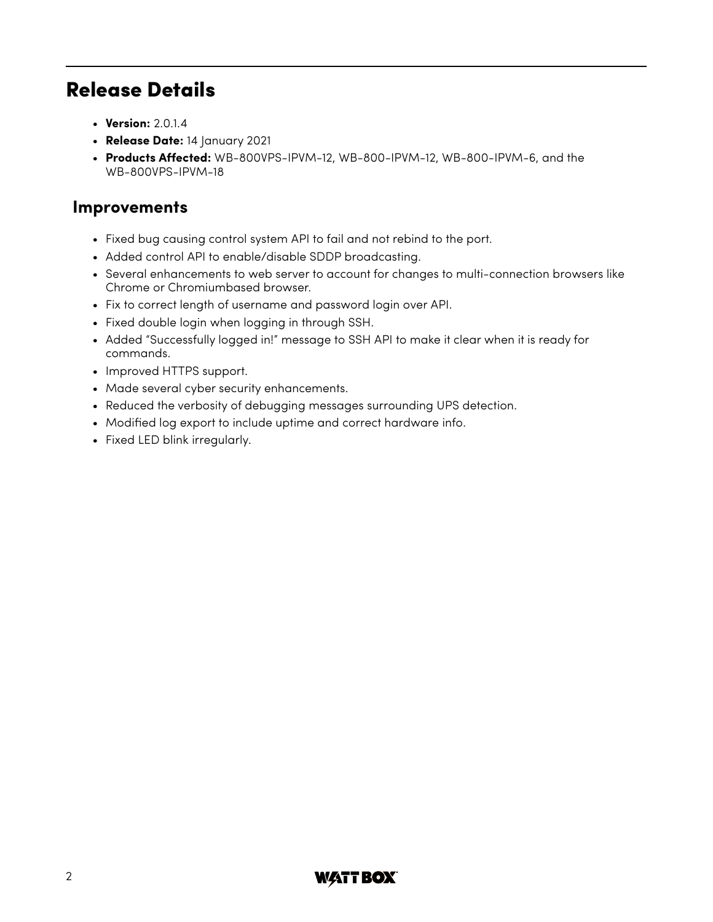# Release Details

- **Version:** 2.0.1.4
- **Release Date:** 14 January 2021
- **Products Affected:** WB-800VPS-IPVM-12, WB-800-IPVM-12, WB-800-IPVM-6, and the WB-800VPS-IPVM-18

### **Improvements**

- Fixed bug causing control system API to fail and not rebind to the port.
- Added control API to enable/disable SDDP broadcasting.
- Several enhancements to web server to account for changes to multi-connection browsers like Chrome or Chromiumbased browser.
- Fix to correct length of username and password login over API.
- Fixed double login when logging in through SSH.
- Added "Successfully logged in!" message to SSH API to make it clear when it is ready for commands.
- Improved HTTPS support.
- Made several cyber security enhancements.
- Reduced the verbosity of debugging messages surrounding UPS detection.
- Modified log export to include uptime and correct hardware info.
- Fixed LED blink irregularly.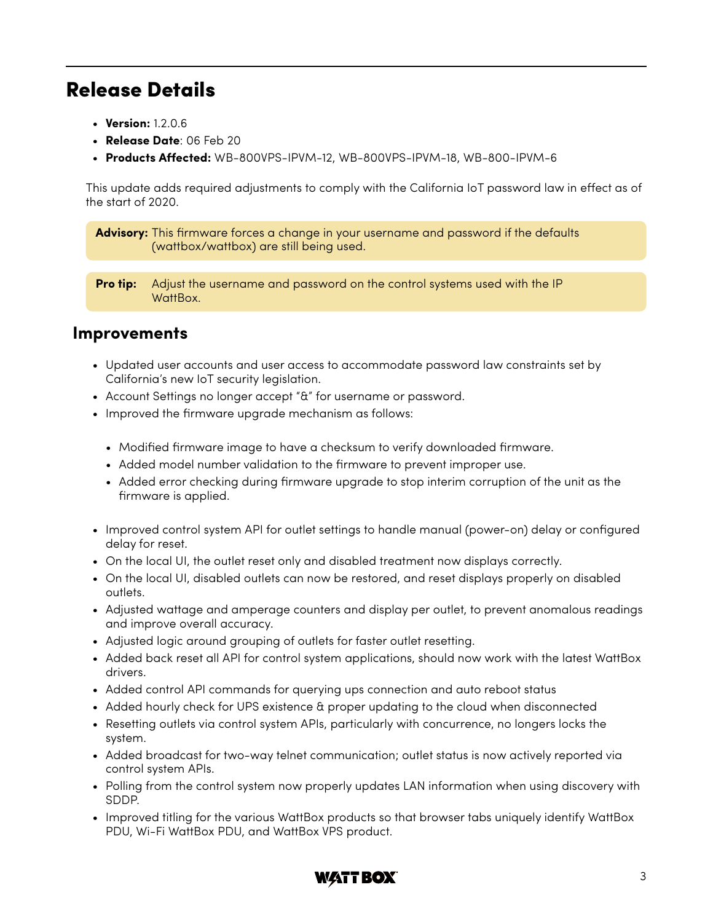### Release Details

- **Version:** 1.2.0.6
- **Release Date**: 06 Feb 20
- **Products Affected:** WB-800VPS-IPVM-12, WB-800VPS-IPVM-18, WB-800-IPVM-6

This update adds required adjustments to comply with the California IoT password law in effect as of the start of 2020.

**Advisory:** This firmware forces a change in your username and password if the defaults (wattbox/wattbox) are still being used.

**Pro tip:** Adjust the username and password on the control systems used with the IP WattBox.

#### **Improvements**

- Updated user accounts and user access to accommodate password law constraints set by California's new IoT security legislation.
- Account Settings no longer accept "&" for username or password.
- Improved the firmware upgrade mechanism as follows:
	- Modified firmware image to have a checksum to verify downloaded firmware.
	- Added model number validation to the firmware to prevent improper use.
	- Added error checking during firmware upgrade to stop interim corruption of the unit as the firmware is applied.
- Improved control system API for outlet settings to handle manual (power-on) delay or configured delay for reset.
- On the local UI, the outlet reset only and disabled treatment now displays correctly.
- On the local UI, disabled outlets can now be restored, and reset displays properly on disabled outlets.
- Adjusted wattage and amperage counters and display per outlet, to prevent anomalous readings and improve overall accuracy.
- Adjusted logic around grouping of outlets for faster outlet resetting.
- Added back reset all API for control system applications, should now work with the latest WattBox drivers.
- Added control API commands for querying ups connection and auto reboot status
- Added hourly check for UPS existence & proper updating to the cloud when disconnected
- Resetting outlets via control system APIs, particularly with concurrence, no longers locks the system.
- Added broadcast for two-way telnet communication; outlet status is now actively reported via control system APIs.
- Polling from the control system now properly updates LAN information when using discovery with SDDP.
- Improved titling for the various WattBox products so that browser tabs uniquely identify WattBox PDU, Wi-Fi WattBox PDU, and WattBox VPS product.